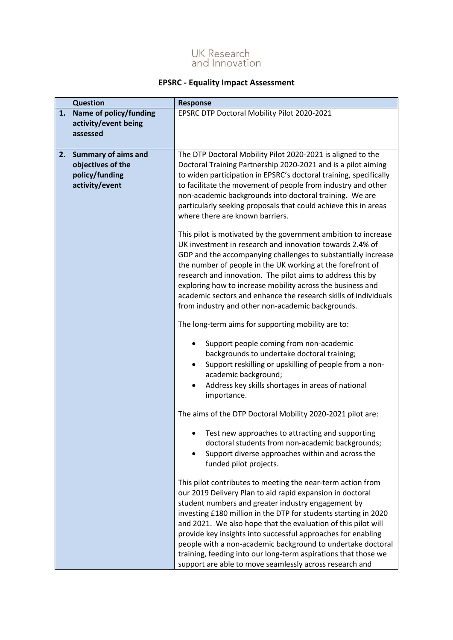

## **EPSRC - Equality Impact Assessment**

| <b>Question</b><br><b>Response</b> |                                                                                     |                                                                                                                                                                                                                                                                                                                                                                                                                                                                                                                                                                                |
|------------------------------------|-------------------------------------------------------------------------------------|--------------------------------------------------------------------------------------------------------------------------------------------------------------------------------------------------------------------------------------------------------------------------------------------------------------------------------------------------------------------------------------------------------------------------------------------------------------------------------------------------------------------------------------------------------------------------------|
| 1.                                 | Name of policy/funding<br>activity/event being<br>assessed                          | EPSRC DTP Doctoral Mobility Pilot 2020-2021                                                                                                                                                                                                                                                                                                                                                                                                                                                                                                                                    |
| 2.                                 | <b>Summary of aims and</b><br>objectives of the<br>policy/funding<br>activity/event | The DTP Doctoral Mobility Pilot 2020-2021 is aligned to the<br>Doctoral Training Partnership 2020-2021 and is a pilot aiming<br>to widen participation in EPSRC's doctoral training, specifically<br>to facilitate the movement of people from industry and other<br>non-academic backgrounds into doctoral training. We are<br>particularly seeking proposals that could achieve this in areas<br>where there are known barriers.                                                                                                                                             |
|                                    |                                                                                     | This pilot is motivated by the government ambition to increase<br>UK investment in research and innovation towards 2.4% of<br>GDP and the accompanying challenges to substantially increase<br>the number of people in the UK working at the forefront of<br>research and innovation. The pilot aims to address this by<br>exploring how to increase mobility across the business and<br>academic sectors and enhance the research skills of individuals<br>from industry and other non-academic backgrounds.                                                                  |
|                                    |                                                                                     | The long-term aims for supporting mobility are to:                                                                                                                                                                                                                                                                                                                                                                                                                                                                                                                             |
|                                    |                                                                                     | Support people coming from non-academic<br>٠<br>backgrounds to undertake doctoral training;<br>Support reskilling or upskilling of people from a non-<br>٠<br>academic background;<br>Address key skills shortages in areas of national<br>importance.                                                                                                                                                                                                                                                                                                                         |
|                                    |                                                                                     | The aims of the DTP Doctoral Mobility 2020-2021 pilot are:                                                                                                                                                                                                                                                                                                                                                                                                                                                                                                                     |
|                                    |                                                                                     | Test new approaches to attracting and supporting<br>٠<br>doctoral students from non-academic backgrounds;<br>Support diverse approaches within and across the<br>funded pilot projects.                                                                                                                                                                                                                                                                                                                                                                                        |
|                                    |                                                                                     | This pilot contributes to meeting the near-term action from<br>our 2019 Delivery Plan to aid rapid expansion in doctoral<br>student numbers and greater industry engagement by<br>investing £180 million in the DTP for students starting in 2020<br>and 2021. We also hope that the evaluation of this pilot will<br>provide key insights into successful approaches for enabling<br>people with a non-academic background to undertake doctoral<br>training, feeding into our long-term aspirations that those we<br>support are able to move seamlessly across research and |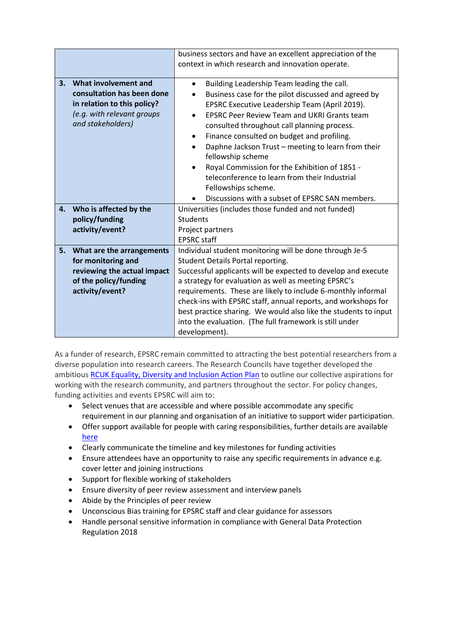|                                                                                                                                            |                             | business sectors and have an excellent appreciation of the                                                                                                                                                                                                                                                                                                                                                                                                                                                                                                                                               |  |  |
|--------------------------------------------------------------------------------------------------------------------------------------------|-----------------------------|----------------------------------------------------------------------------------------------------------------------------------------------------------------------------------------------------------------------------------------------------------------------------------------------------------------------------------------------------------------------------------------------------------------------------------------------------------------------------------------------------------------------------------------------------------------------------------------------------------|--|--|
|                                                                                                                                            |                             | context in which research and innovation operate.                                                                                                                                                                                                                                                                                                                                                                                                                                                                                                                                                        |  |  |
| What involvement and<br>3.<br>consultation has been done<br>in relation to this policy?<br>(e.g. with relevant groups<br>and stakeholders) |                             | Building Leadership Team leading the call.<br>$\bullet$<br>Business case for the pilot discussed and agreed by<br>EPSRC Executive Leadership Team (April 2019).<br><b>EPSRC Peer Review Team and UKRI Grants team</b><br>$\bullet$<br>consulted throughout call planning process.<br>Finance consulted on budget and profiling.<br>٠<br>Daphne Jackson Trust - meeting to learn from their<br>$\bullet$<br>fellowship scheme<br>Royal Commission for the Exhibition of 1851 -<br>teleconference to learn from their Industrial<br>Fellowships scheme.<br>Discussions with a subset of EPSRC SAN members. |  |  |
| 4.                                                                                                                                         | Who is affected by the      | Universities (includes those funded and not funded)                                                                                                                                                                                                                                                                                                                                                                                                                                                                                                                                                      |  |  |
|                                                                                                                                            | policy/funding              | Students                                                                                                                                                                                                                                                                                                                                                                                                                                                                                                                                                                                                 |  |  |
|                                                                                                                                            | activity/event?             | Project partners                                                                                                                                                                                                                                                                                                                                                                                                                                                                                                                                                                                         |  |  |
|                                                                                                                                            |                             | <b>EPSRC</b> staff                                                                                                                                                                                                                                                                                                                                                                                                                                                                                                                                                                                       |  |  |
| 5.                                                                                                                                         | What are the arrangements   | Individual student monitoring will be done through Je-S                                                                                                                                                                                                                                                                                                                                                                                                                                                                                                                                                  |  |  |
|                                                                                                                                            | for monitoring and          | Student Details Portal reporting.                                                                                                                                                                                                                                                                                                                                                                                                                                                                                                                                                                        |  |  |
|                                                                                                                                            | reviewing the actual impact | Successful applicants will be expected to develop and execute                                                                                                                                                                                                                                                                                                                                                                                                                                                                                                                                            |  |  |
|                                                                                                                                            | of the policy/funding       | a strategy for evaluation as well as meeting EPSRC's                                                                                                                                                                                                                                                                                                                                                                                                                                                                                                                                                     |  |  |
|                                                                                                                                            | activity/event?             | requirements. These are likely to include 6-monthly informal                                                                                                                                                                                                                                                                                                                                                                                                                                                                                                                                             |  |  |
|                                                                                                                                            |                             | check-ins with EPSRC staff, annual reports, and workshops for                                                                                                                                                                                                                                                                                                                                                                                                                                                                                                                                            |  |  |
|                                                                                                                                            |                             | best practice sharing. We would also like the students to input                                                                                                                                                                                                                                                                                                                                                                                                                                                                                                                                          |  |  |
|                                                                                                                                            |                             | into the evaluation. (The full framework is still under                                                                                                                                                                                                                                                                                                                                                                                                                                                                                                                                                  |  |  |
|                                                                                                                                            |                             | development).                                                                                                                                                                                                                                                                                                                                                                                                                                                                                                                                                                                            |  |  |

As a funder of research, EPSRC remain committed to attracting the best potential researchers from a diverse population into research careers. The Research Councils have together developed the ambitious [RCUK Equality, Diversity and Inclusion Action Plan](https://epsrc.ukri.org/links/councils/uk-research-and-innovation-ukri/diversity-ukri/) to outline our collective aspirations for working with the research community, and partners throughout the sector. For policy changes, funding activities and events EPSRC will aim to:

- Select venues that are accessible and where possible accommodate any specific requirement in our planning and organisation of an initiative to support wider participation.
- Offer support available for people with caring responsibilities, further details are available [here](https://epsrc.ukri.org/funding/applicationprocess/basics/caringresponsibilities/)
- Clearly communicate the timeline and key milestones for funding activities
- Ensure attendees have an opportunity to raise any specific requirements in advance e.g. cover letter and joining instructions
- Support for flexible working of stakeholders
- Ensure diversity of peer review assessment and interview panels
- Abide by the Principles of peer review
- Unconscious Bias training for EPSRC staff and clear guidance for assessors
- Handle personal sensitive information in compliance with General Data Protection Regulation 2018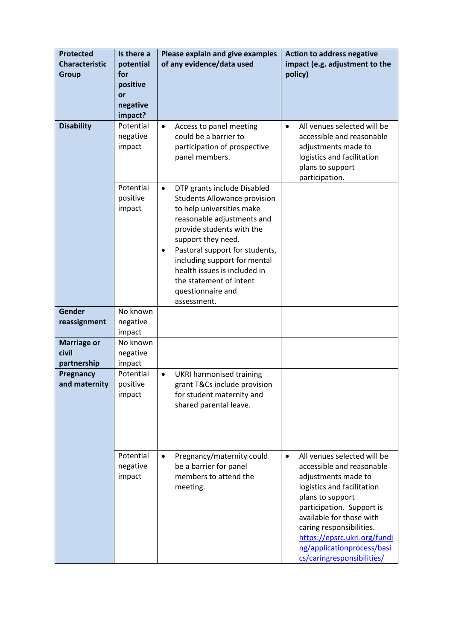| <b>Protected</b><br><b>Characteristic</b><br><b>Group</b> | Is there a<br>potential<br>for<br>positive<br>or<br>negative<br>impact? | Please explain and give examples<br>of any evidence/data used                                                                                                                                                                                                                                                                                                       | <b>Action to address negative</b><br>impact (e.g. adjustment to the<br>policy)                                                                                                                                                                                                                                                  |  |
|-----------------------------------------------------------|-------------------------------------------------------------------------|---------------------------------------------------------------------------------------------------------------------------------------------------------------------------------------------------------------------------------------------------------------------------------------------------------------------------------------------------------------------|---------------------------------------------------------------------------------------------------------------------------------------------------------------------------------------------------------------------------------------------------------------------------------------------------------------------------------|--|
| <b>Disability</b>                                         | Potential<br>negative<br>impact                                         | Access to panel meeting<br>$\bullet$<br>could be a barrier to<br>participation of prospective<br>panel members.                                                                                                                                                                                                                                                     | All venues selected will be<br>$\bullet$<br>accessible and reasonable<br>adjustments made to<br>logistics and facilitation<br>plans to support<br>participation.                                                                                                                                                                |  |
|                                                           | Potential<br>positive<br>impact                                         | DTP grants include Disabled<br>$\bullet$<br><b>Students Allowance provision</b><br>to help universities make<br>reasonable adjustments and<br>provide students with the<br>support they need.<br>Pastoral support for students,<br>٠<br>including support for mental<br>health issues is included in<br>the statement of intent<br>questionnaire and<br>assessment. |                                                                                                                                                                                                                                                                                                                                 |  |
| Gender<br>reassignment                                    | No known<br>negative<br>impact                                          |                                                                                                                                                                                                                                                                                                                                                                     |                                                                                                                                                                                                                                                                                                                                 |  |
| <b>Marriage or</b><br>civil<br>partnership                | No known<br>negative<br>impact                                          |                                                                                                                                                                                                                                                                                                                                                                     |                                                                                                                                                                                                                                                                                                                                 |  |
| Pregnancy<br>and maternity                                | Potential<br>positive<br>impact                                         | <b>UKRI harmonised training</b><br>$\bullet$<br>grant T&Cs include provision<br>for student maternity and<br>shared parental leave.                                                                                                                                                                                                                                 |                                                                                                                                                                                                                                                                                                                                 |  |
|                                                           | Potential<br>negative<br>impact                                         | Pregnancy/maternity could<br>$\bullet$<br>be a barrier for panel<br>members to attend the<br>meeting.                                                                                                                                                                                                                                                               | All venues selected will be<br>$\bullet$<br>accessible and reasonable<br>adjustments made to<br>logistics and facilitation<br>plans to support<br>participation. Support is<br>available for those with<br>caring responsibilities.<br>https://epsrc.ukri.org/fundi<br>ng/applicationprocess/basi<br>cs/caringresponsibilities/ |  |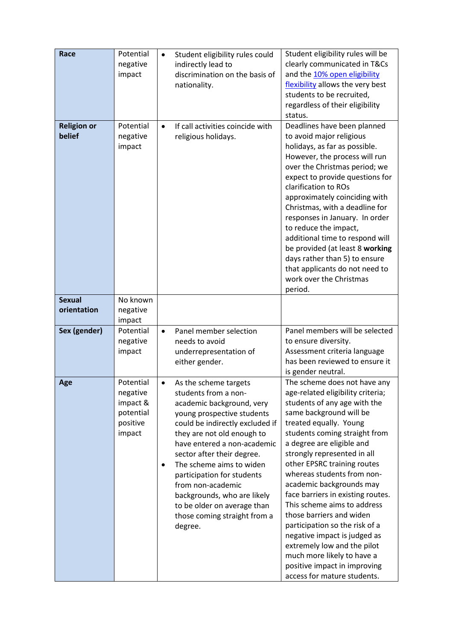| Race                         | Potential<br>negative<br>impact                                      | Student eligibility rules could<br>indirectly lead to<br>discrimination on the basis of<br>nationality.                                                                                                                                                                                                                                                                                                                        | Student eligibility rules will be<br>clearly communicated in T&Cs<br>and the 10% open eligibility<br>flexibility allows the very best<br>students to be recruited,<br>regardless of their eligibility<br>status.                                                                                                                                                                                                                                                                                                                                                                                                                           |
|------------------------------|----------------------------------------------------------------------|--------------------------------------------------------------------------------------------------------------------------------------------------------------------------------------------------------------------------------------------------------------------------------------------------------------------------------------------------------------------------------------------------------------------------------|--------------------------------------------------------------------------------------------------------------------------------------------------------------------------------------------------------------------------------------------------------------------------------------------------------------------------------------------------------------------------------------------------------------------------------------------------------------------------------------------------------------------------------------------------------------------------------------------------------------------------------------------|
| <b>Religion or</b><br>belief | Potential<br>negative<br>impact                                      | If call activities coincide with<br>religious holidays.                                                                                                                                                                                                                                                                                                                                                                        | Deadlines have been planned<br>to avoid major religious<br>holidays, as far as possible.<br>However, the process will run<br>over the Christmas period; we<br>expect to provide questions for<br>clarification to ROs<br>approximately coinciding with<br>Christmas, with a deadline for<br>responses in January. In order<br>to reduce the impact,<br>additional time to respond will<br>be provided (at least 8 working<br>days rather than 5) to ensure<br>that applicants do not need to<br>work over the Christmas<br>period.                                                                                                         |
| <b>Sexual</b><br>orientation | No known<br>negative<br>impact                                       |                                                                                                                                                                                                                                                                                                                                                                                                                                |                                                                                                                                                                                                                                                                                                                                                                                                                                                                                                                                                                                                                                            |
| Sex (gender)                 | Potential<br>negative<br>impact                                      | Panel member selection<br>$\bullet$<br>needs to avoid<br>underrepresentation of<br>either gender.                                                                                                                                                                                                                                                                                                                              | Panel members will be selected<br>to ensure diversity.<br>Assessment criteria language<br>has been reviewed to ensure it<br>is gender neutral.                                                                                                                                                                                                                                                                                                                                                                                                                                                                                             |
| Age                          | Potential<br>negative<br>impact &<br>potential<br>positive<br>impact | As the scheme targets<br>students from a non-<br>academic background, very<br>young prospective students<br>could be indirectly excluded if<br>they are not old enough to<br>have entered a non-academic<br>sector after their degree.<br>The scheme aims to widen<br>participation for students<br>from non-academic<br>backgrounds, who are likely<br>to be older on average than<br>those coming straight from a<br>degree. | The scheme does not have any<br>age-related eligibility criteria;<br>students of any age with the<br>same background will be<br>treated equally. Young<br>students coming straight from<br>a degree are eligible and<br>strongly represented in all<br>other EPSRC training routes<br>whereas students from non-<br>academic backgrounds may<br>face barriers in existing routes.<br>This scheme aims to address<br>those barriers and widen<br>participation so the risk of a<br>negative impact is judged as<br>extremely low and the pilot<br>much more likely to have a<br>positive impact in improving<br>access for mature students. |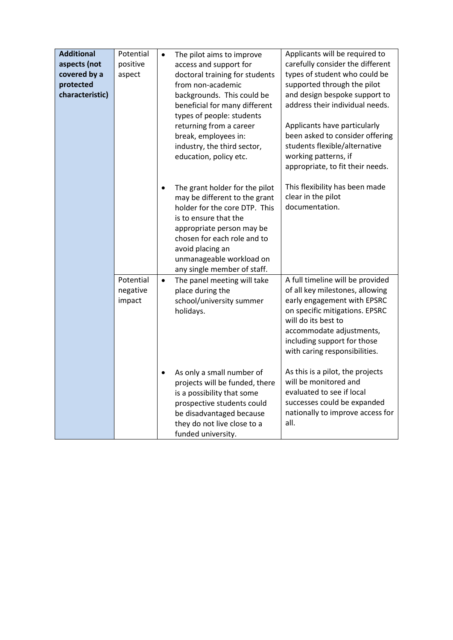| <b>Additional</b><br>aspects (not<br>covered by a<br>protected<br>characteristic) | Potential<br>positive<br>aspect | The pilot aims to improve<br>$\bullet$<br>access and support for<br>doctoral training for students<br>from non-academic<br>backgrounds. This could be<br>beneficial for many different<br>types of people: students<br>returning from a career<br>break, employees in:<br>industry, the third sector,<br>education, policy etc.<br>The grant holder for the pilot<br>$\bullet$<br>may be different to the grant<br>holder for the core DTP. This<br>is to ensure that the | Applicants will be required to<br>carefully consider the different<br>types of student who could be<br>supported through the pilot<br>and design bespoke support to<br>address their individual needs.<br>Applicants have particularly<br>been asked to consider offering<br>students flexible/alternative<br>working patterns, if<br>appropriate, to fit their needs.<br>This flexibility has been made<br>clear in the pilot<br>documentation. |
|-----------------------------------------------------------------------------------|---------------------------------|---------------------------------------------------------------------------------------------------------------------------------------------------------------------------------------------------------------------------------------------------------------------------------------------------------------------------------------------------------------------------------------------------------------------------------------------------------------------------|--------------------------------------------------------------------------------------------------------------------------------------------------------------------------------------------------------------------------------------------------------------------------------------------------------------------------------------------------------------------------------------------------------------------------------------------------|
|                                                                                   |                                 | appropriate person may be<br>chosen for each role and to<br>avoid placing an<br>unmanageable workload on<br>any single member of staff.                                                                                                                                                                                                                                                                                                                                   |                                                                                                                                                                                                                                                                                                                                                                                                                                                  |
|                                                                                   | Potential<br>negative<br>impact | The panel meeting will take<br>$\bullet$<br>place during the<br>school/university summer<br>holidays.                                                                                                                                                                                                                                                                                                                                                                     | A full timeline will be provided<br>of all key milestones, allowing<br>early engagement with EPSRC<br>on specific mitigations. EPSRC<br>will do its best to<br>accommodate adjustments,<br>including support for those<br>with caring responsibilities.                                                                                                                                                                                          |
|                                                                                   |                                 | As only a small number of<br>٠<br>projects will be funded, there<br>is a possibility that some<br>prospective students could<br>be disadvantaged because<br>they do not live close to a<br>funded university.                                                                                                                                                                                                                                                             | As this is a pilot, the projects<br>will be monitored and<br>evaluated to see if local<br>successes could be expanded<br>nationally to improve access for<br>all.                                                                                                                                                                                                                                                                                |